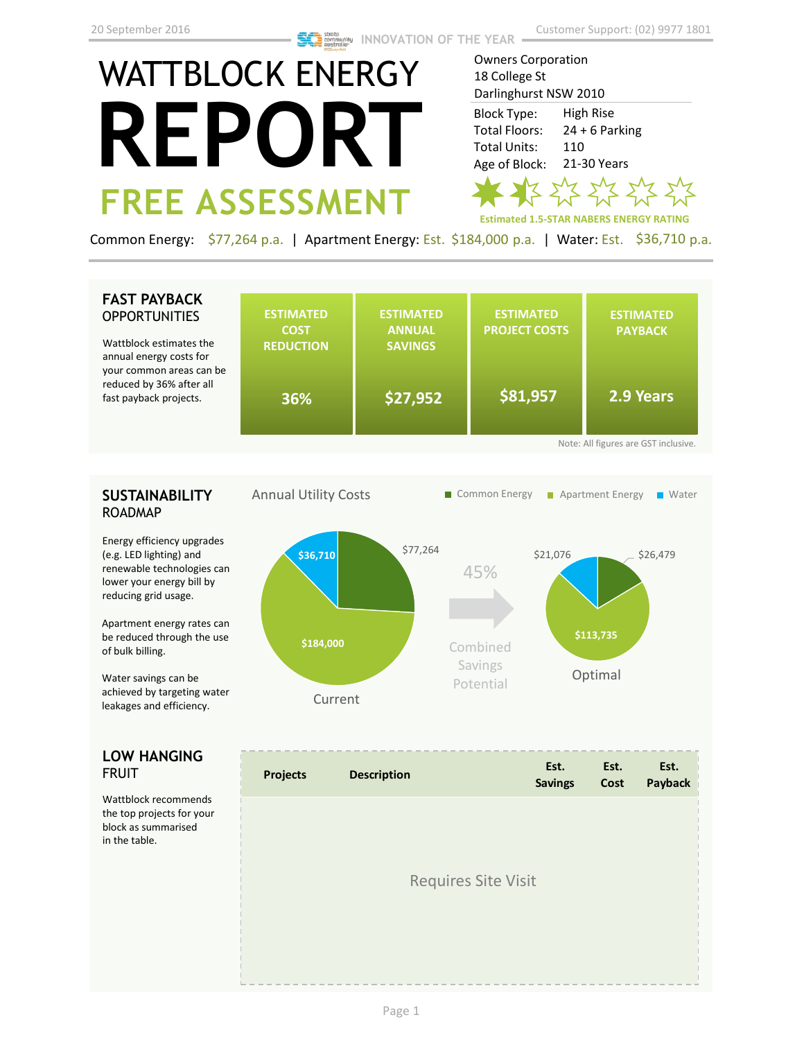# WATTBLOCK ENERGY **REPORT FREE ASSESSMENT**

Owners Corporation 18 College St Darlinghurst NSW 2010 High Rise  $24 + 6$  Parking 110 21-30 Years Block Type: Total Floors: Total Units: Age of Block:

**Estimated 1.5-STAR NABERS ENERGY RATING**

Common Energy: \$77,264 p.a. | Apartment Energy: Est. \$184,000 p.a. | Water: Est. \$36,710 p.a.

# **FAST PAYBACK OPPORTUNITIES**

Wattblock estimates the annual energy costs for your common areas can be reduced by 36% after all fast payback projects.

|    | <b>ESTIMATED</b><br><b>COST</b><br><b>REDUCTION</b> | <b>ESTIMATED</b><br><b>ANNUAL</b><br><b>SAVINGS</b> | <b>ESTIMATED</b><br><b>PROJECT COSTS</b> | <b>ESTIMATED</b><br><b>PAYBACK</b> |  |  |  |
|----|-----------------------------------------------------|-----------------------------------------------------|------------------------------------------|------------------------------------|--|--|--|
| be | 36%                                                 | \$27,952                                            | \$81,957                                 | 2.9 Years                          |  |  |  |
|    | Note: All figures are GST inclusive.                |                                                     |                                          |                                    |  |  |  |

## **SUSTAINABILITY** ROADMAP

Energy efficiency upgrades (e.g. LED lighting) and renewable technologies can lower your energy bill by reducing grid usage.

Apartment energy rates can be reduced through the use of bulk billing.

Water savings can be achieved by targeting water leakages and efficiency.

### **LOW HANGING**  FRUIT

Wattblock recommends the top projects for your block as summarised in the table.